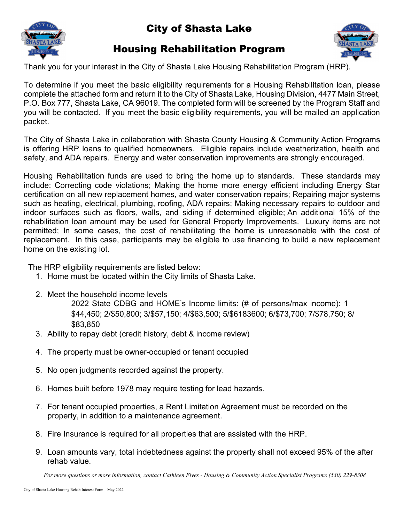

## City of Shasta Lake

## Housing Rehabilitation Program



Thank you for your interest in the City of Shasta Lake Housing Rehabilitation Program (HRP).

To determine if you meet the basic eligibility requirements for a Housing Rehabilitation loan, please complete the attached form and return it to the City of Shasta Lake, Housing Division, 4477 Main Street, P.O. Box 777, Shasta Lake, CA 96019. The completed form will be screened by the Program Staff and you will be contacted. If you meet the basic eligibility requirements, you will be mailed an application packet.

The City of Shasta Lake in collaboration with Shasta County Housing & Community Action Programs is offering HRP loans to qualified homeowners. Eligible repairs include weatherization, health and safety, and ADA repairs. Energy and water conservation improvements are strongly encouraged.

Housing Rehabilitation funds are used to bring the home up to standards. These standards may include: Correcting code violations; Making the home more energy efficient including Energy Star certification on all new replacement homes, and water conservation repairs; Repairing major systems such as heating, electrical, plumbing, roofing, ADA repairs; Making necessary repairs to outdoor and indoor surfaces such as floors, walls, and siding if determined eligible; An additional 15% of the rehabilitation loan amount may be used for General Property Improvements. Luxury items are not permitted; In some cases, the cost of rehabilitating the home is unreasonable with the cost of replacement. In this case, participants may be eligible to use financing to build a new replacement home on the existing lot.

The HRP eligibility requirements are listed below:

- 1. Home must be located within the City limits of Shasta Lake.
- 2. Meet the household income levels

2022 State CDBG and HOME's Income limits: (# of persons/max income): 1 \$44,450; 2/\$50,800; 3/\$57,150; 4/\$63,500; 5/\$6183600; 6/\$73,700; 7/\$78,750; 8/ \$83,850

- 3. Ability to repay debt (credit history, debt & income review)
- 4. The property must be owner-occupied or tenant occupied
- 5. No open judgments recorded against the property.
- 6. Homes built before 1978 may require testing for lead hazards.
- 7. For tenant occupied properties, a Rent Limitation Agreement must be recorded on the property, in addition to a maintenance agreement.
- 8. Fire Insurance is required for all properties that are assisted with the HRP.
- 9. Loan amounts vary, total indebtedness against the property shall not exceed 95% of the after rehab value.

*For more questions or more information, contact Cathleen Fives - Housing & Community Action Specialist Programs (530) 229-8308*